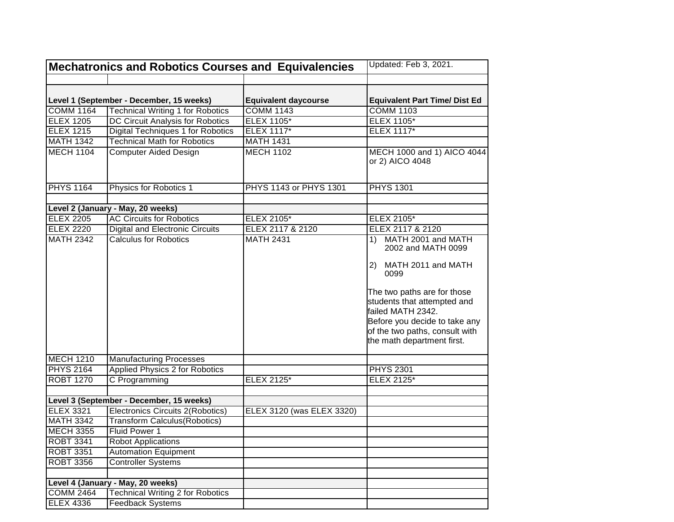| Level 1 (September - December, 15 weeks)<br><b>Equivalent daycourse</b><br><b>Equivalent Part Time/ Dist Ed</b><br><b>COMM 1164</b><br><b>Technical Writing 1 for Robotics</b><br><b>COMM 1143</b><br><b>COMM 1103</b><br>DC Circuit Analysis for Robotics<br><b>ELEX 1105*</b><br><b>ELEX 1105*</b><br><b>ELEX 1205</b><br><b>Digital Techniques 1 for Robotics</b><br><b>ELEX 1215</b><br><b>ELEX 1117*</b><br><b>ELEX 1117*</b><br><b>MATH 1342</b><br><b>Technical Math for Robotics</b><br><b>MATH 1431</b><br><b>MECH 1104</b><br><b>Computer Aided Design</b><br><b>MECH 1102</b><br>MECH 1000 and 1) AICO 4044<br>or 2) AICO 4048<br><b>PHYS 1164</b><br><b>PHYS 1301</b><br>Physics for Robotics 1<br>PHYS 1143 or PHYS 1301<br>Level 2 (January - May, 20 weeks)<br><b>AC Circuits for Robotics</b><br><b>ELEX 2205</b><br>ELEX 2105*<br><b>ELEX 2105*</b><br><b>ELEX 2220</b><br>ELEX 2117 & 2120<br>ELEX 2117 & 2120<br><b>Digital and Electronic Circuits</b><br><b>Calculus for Robotics</b><br><b>MATH 2342</b><br><b>MATH 2431</b><br>MATH 2001 and MATH<br>1)<br>2002 and MATH 0099<br>2) MATH 2011 and MATH<br>0099<br>The two paths are for those<br>students that attempted and<br>failed MATH 2342.<br>Before you decide to take any<br>of the two paths, consult with<br>the math department first.<br><b>MECH 1210</b><br><b>Manufacturing Processes</b><br><b>Applied Physics 2 for Robotics</b><br><b>PHYS 2164</b><br><b>PHYS 2301</b><br><b>ROBT 1270</b><br>C Programming<br>ELEX 2125*<br>ELEX 2125*<br>Level 3 (September - December, 15 weeks)<br><b>ELEX 3321</b><br>Electronics Circuits 2(Robotics)<br>ELEX 3120 (was ELEX 3320)<br><b>MATH 3342</b><br><b>Transform Calculus(Robotics)</b><br><b>MECH 3355</b><br>Fluid Power 1<br><b>ROBT 3341</b><br><b>Robot Applications</b><br><b>ROBT 3351</b><br><b>Automation Equipment</b><br><b>ROBT 3356</b><br><b>Controller Systems</b><br>Level 4 (January - May, 20 weeks)<br><b>COMM 2464</b><br><b>Technical Writing 2 for Robotics</b> |                  | <b>Mechatronics and Robotics Courses and Equivalencies</b> | Updated: Feb 3, 2021. |  |
|-----------------------------------------------------------------------------------------------------------------------------------------------------------------------------------------------------------------------------------------------------------------------------------------------------------------------------------------------------------------------------------------------------------------------------------------------------------------------------------------------------------------------------------------------------------------------------------------------------------------------------------------------------------------------------------------------------------------------------------------------------------------------------------------------------------------------------------------------------------------------------------------------------------------------------------------------------------------------------------------------------------------------------------------------------------------------------------------------------------------------------------------------------------------------------------------------------------------------------------------------------------------------------------------------------------------------------------------------------------------------------------------------------------------------------------------------------------------------------------------------------------------------------------------------------------------------------------------------------------------------------------------------------------------------------------------------------------------------------------------------------------------------------------------------------------------------------------------------------------------------------------------------------------------------------------------------------------------------------------------------------------------------------|------------------|------------------------------------------------------------|-----------------------|--|
|                                                                                                                                                                                                                                                                                                                                                                                                                                                                                                                                                                                                                                                                                                                                                                                                                                                                                                                                                                                                                                                                                                                                                                                                                                                                                                                                                                                                                                                                                                                                                                                                                                                                                                                                                                                                                                                                                                                                                                                                                             |                  |                                                            |                       |  |
|                                                                                                                                                                                                                                                                                                                                                                                                                                                                                                                                                                                                                                                                                                                                                                                                                                                                                                                                                                                                                                                                                                                                                                                                                                                                                                                                                                                                                                                                                                                                                                                                                                                                                                                                                                                                                                                                                                                                                                                                                             |                  |                                                            |                       |  |
|                                                                                                                                                                                                                                                                                                                                                                                                                                                                                                                                                                                                                                                                                                                                                                                                                                                                                                                                                                                                                                                                                                                                                                                                                                                                                                                                                                                                                                                                                                                                                                                                                                                                                                                                                                                                                                                                                                                                                                                                                             |                  |                                                            |                       |  |
|                                                                                                                                                                                                                                                                                                                                                                                                                                                                                                                                                                                                                                                                                                                                                                                                                                                                                                                                                                                                                                                                                                                                                                                                                                                                                                                                                                                                                                                                                                                                                                                                                                                                                                                                                                                                                                                                                                                                                                                                                             |                  |                                                            |                       |  |
|                                                                                                                                                                                                                                                                                                                                                                                                                                                                                                                                                                                                                                                                                                                                                                                                                                                                                                                                                                                                                                                                                                                                                                                                                                                                                                                                                                                                                                                                                                                                                                                                                                                                                                                                                                                                                                                                                                                                                                                                                             |                  |                                                            |                       |  |
|                                                                                                                                                                                                                                                                                                                                                                                                                                                                                                                                                                                                                                                                                                                                                                                                                                                                                                                                                                                                                                                                                                                                                                                                                                                                                                                                                                                                                                                                                                                                                                                                                                                                                                                                                                                                                                                                                                                                                                                                                             |                  |                                                            |                       |  |
|                                                                                                                                                                                                                                                                                                                                                                                                                                                                                                                                                                                                                                                                                                                                                                                                                                                                                                                                                                                                                                                                                                                                                                                                                                                                                                                                                                                                                                                                                                                                                                                                                                                                                                                                                                                                                                                                                                                                                                                                                             |                  |                                                            |                       |  |
|                                                                                                                                                                                                                                                                                                                                                                                                                                                                                                                                                                                                                                                                                                                                                                                                                                                                                                                                                                                                                                                                                                                                                                                                                                                                                                                                                                                                                                                                                                                                                                                                                                                                                                                                                                                                                                                                                                                                                                                                                             |                  |                                                            |                       |  |
|                                                                                                                                                                                                                                                                                                                                                                                                                                                                                                                                                                                                                                                                                                                                                                                                                                                                                                                                                                                                                                                                                                                                                                                                                                                                                                                                                                                                                                                                                                                                                                                                                                                                                                                                                                                                                                                                                                                                                                                                                             |                  |                                                            |                       |  |
|                                                                                                                                                                                                                                                                                                                                                                                                                                                                                                                                                                                                                                                                                                                                                                                                                                                                                                                                                                                                                                                                                                                                                                                                                                                                                                                                                                                                                                                                                                                                                                                                                                                                                                                                                                                                                                                                                                                                                                                                                             |                  |                                                            |                       |  |
|                                                                                                                                                                                                                                                                                                                                                                                                                                                                                                                                                                                                                                                                                                                                                                                                                                                                                                                                                                                                                                                                                                                                                                                                                                                                                                                                                                                                                                                                                                                                                                                                                                                                                                                                                                                                                                                                                                                                                                                                                             |                  |                                                            |                       |  |
|                                                                                                                                                                                                                                                                                                                                                                                                                                                                                                                                                                                                                                                                                                                                                                                                                                                                                                                                                                                                                                                                                                                                                                                                                                                                                                                                                                                                                                                                                                                                                                                                                                                                                                                                                                                                                                                                                                                                                                                                                             |                  |                                                            |                       |  |
|                                                                                                                                                                                                                                                                                                                                                                                                                                                                                                                                                                                                                                                                                                                                                                                                                                                                                                                                                                                                                                                                                                                                                                                                                                                                                                                                                                                                                                                                                                                                                                                                                                                                                                                                                                                                                                                                                                                                                                                                                             |                  |                                                            |                       |  |
|                                                                                                                                                                                                                                                                                                                                                                                                                                                                                                                                                                                                                                                                                                                                                                                                                                                                                                                                                                                                                                                                                                                                                                                                                                                                                                                                                                                                                                                                                                                                                                                                                                                                                                                                                                                                                                                                                                                                                                                                                             |                  |                                                            |                       |  |
|                                                                                                                                                                                                                                                                                                                                                                                                                                                                                                                                                                                                                                                                                                                                                                                                                                                                                                                                                                                                                                                                                                                                                                                                                                                                                                                                                                                                                                                                                                                                                                                                                                                                                                                                                                                                                                                                                                                                                                                                                             |                  |                                                            |                       |  |
|                                                                                                                                                                                                                                                                                                                                                                                                                                                                                                                                                                                                                                                                                                                                                                                                                                                                                                                                                                                                                                                                                                                                                                                                                                                                                                                                                                                                                                                                                                                                                                                                                                                                                                                                                                                                                                                                                                                                                                                                                             |                  |                                                            |                       |  |
|                                                                                                                                                                                                                                                                                                                                                                                                                                                                                                                                                                                                                                                                                                                                                                                                                                                                                                                                                                                                                                                                                                                                                                                                                                                                                                                                                                                                                                                                                                                                                                                                                                                                                                                                                                                                                                                                                                                                                                                                                             |                  |                                                            |                       |  |
|                                                                                                                                                                                                                                                                                                                                                                                                                                                                                                                                                                                                                                                                                                                                                                                                                                                                                                                                                                                                                                                                                                                                                                                                                                                                                                                                                                                                                                                                                                                                                                                                                                                                                                                                                                                                                                                                                                                                                                                                                             |                  |                                                            |                       |  |
|                                                                                                                                                                                                                                                                                                                                                                                                                                                                                                                                                                                                                                                                                                                                                                                                                                                                                                                                                                                                                                                                                                                                                                                                                                                                                                                                                                                                                                                                                                                                                                                                                                                                                                                                                                                                                                                                                                                                                                                                                             |                  |                                                            |                       |  |
|                                                                                                                                                                                                                                                                                                                                                                                                                                                                                                                                                                                                                                                                                                                                                                                                                                                                                                                                                                                                                                                                                                                                                                                                                                                                                                                                                                                                                                                                                                                                                                                                                                                                                                                                                                                                                                                                                                                                                                                                                             |                  |                                                            |                       |  |
|                                                                                                                                                                                                                                                                                                                                                                                                                                                                                                                                                                                                                                                                                                                                                                                                                                                                                                                                                                                                                                                                                                                                                                                                                                                                                                                                                                                                                                                                                                                                                                                                                                                                                                                                                                                                                                                                                                                                                                                                                             |                  |                                                            |                       |  |
|                                                                                                                                                                                                                                                                                                                                                                                                                                                                                                                                                                                                                                                                                                                                                                                                                                                                                                                                                                                                                                                                                                                                                                                                                                                                                                                                                                                                                                                                                                                                                                                                                                                                                                                                                                                                                                                                                                                                                                                                                             |                  |                                                            |                       |  |
|                                                                                                                                                                                                                                                                                                                                                                                                                                                                                                                                                                                                                                                                                                                                                                                                                                                                                                                                                                                                                                                                                                                                                                                                                                                                                                                                                                                                                                                                                                                                                                                                                                                                                                                                                                                                                                                                                                                                                                                                                             |                  |                                                            |                       |  |
|                                                                                                                                                                                                                                                                                                                                                                                                                                                                                                                                                                                                                                                                                                                                                                                                                                                                                                                                                                                                                                                                                                                                                                                                                                                                                                                                                                                                                                                                                                                                                                                                                                                                                                                                                                                                                                                                                                                                                                                                                             |                  |                                                            |                       |  |
|                                                                                                                                                                                                                                                                                                                                                                                                                                                                                                                                                                                                                                                                                                                                                                                                                                                                                                                                                                                                                                                                                                                                                                                                                                                                                                                                                                                                                                                                                                                                                                                                                                                                                                                                                                                                                                                                                                                                                                                                                             |                  |                                                            |                       |  |
|                                                                                                                                                                                                                                                                                                                                                                                                                                                                                                                                                                                                                                                                                                                                                                                                                                                                                                                                                                                                                                                                                                                                                                                                                                                                                                                                                                                                                                                                                                                                                                                                                                                                                                                                                                                                                                                                                                                                                                                                                             |                  |                                                            |                       |  |
|                                                                                                                                                                                                                                                                                                                                                                                                                                                                                                                                                                                                                                                                                                                                                                                                                                                                                                                                                                                                                                                                                                                                                                                                                                                                                                                                                                                                                                                                                                                                                                                                                                                                                                                                                                                                                                                                                                                                                                                                                             |                  |                                                            |                       |  |
|                                                                                                                                                                                                                                                                                                                                                                                                                                                                                                                                                                                                                                                                                                                                                                                                                                                                                                                                                                                                                                                                                                                                                                                                                                                                                                                                                                                                                                                                                                                                                                                                                                                                                                                                                                                                                                                                                                                                                                                                                             | <b>ELEX 4336</b> | <b>Feedback Systems</b>                                    |                       |  |